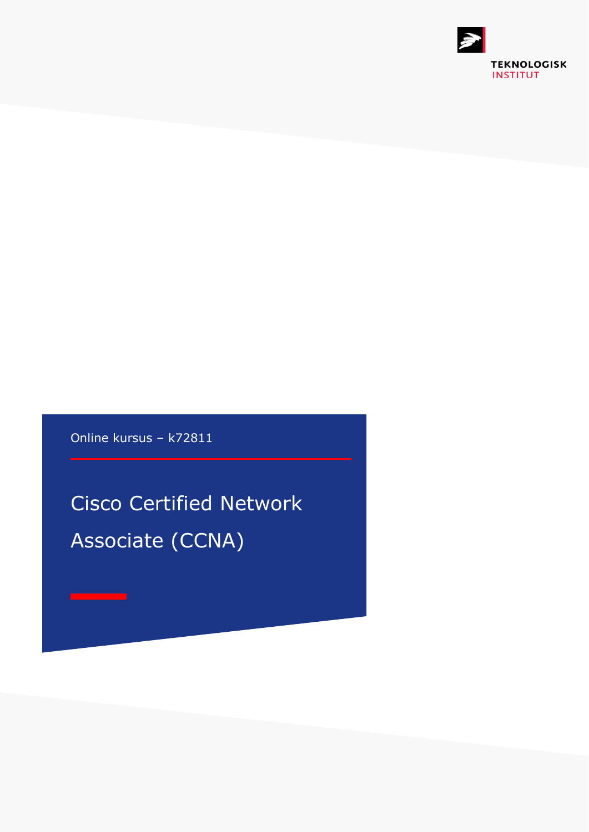

Online kursus – k72811

Cisco Certified Network Associate (CCNA)